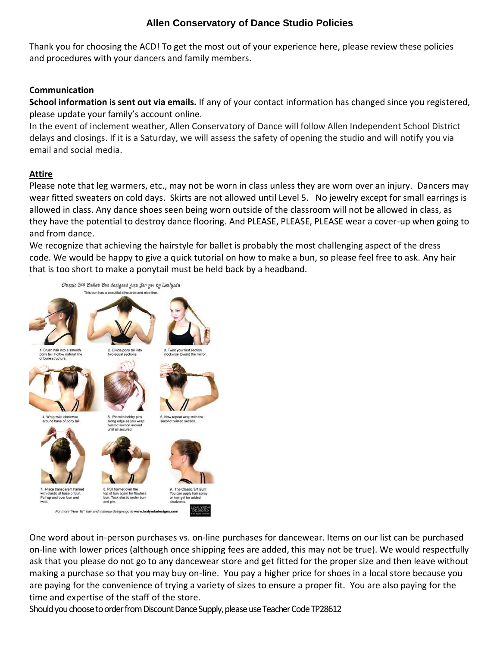# **Allen Conservatory of Dance Studio Policies**

Thank you for choosing the ACD! To get the most out of your experience here, please review these policies and procedures with your dancers and family members.

### **Communication**

**School information is sent out via emails.** If any of your contact information has changed since you registered, please update your family's account online.

In the event of inclement weather, Allen Conservatory of Dance will follow Allen Independent School District delays and closings. If it is a Saturday, we will assess the safety of opening the studio and will notify you via email and social media.

### **Attire**

Please note that leg warmers, etc., may not be worn in class unless they are worn over an injury. Dancers may wear fitted sweaters on cold days. Skirts are not allowed until Level 5. No jewelry except for small earrings is allowed in class. Any dance shoes seen being worn outside of the classroom will not be allowed in class, as they have the potential to destroy dance flooring. And PLEASE, PLEASE, PLEASE wear a cover-up when going to and from dance.

We recognize that achieving the hairstyle for ballet is probably the most challenging aspect of the dress code. We would be happy to give a quick tutorial on how to make a bun, so please feel free to ask. Any hair that is too short to make a ponytail must be held back by a headband.



One word about in-person purchases vs. on-line purchases for dancewear. Items on our list can be purchased on-line with lower prices (although once shipping fees are added, this may not be true). We would respectfully ask that you please do not go to any dancewear store and get fitted for the proper size and then leave without making a purchase so that you may buy on-line. You pay a higher price for shoes in a local store because you are paying for the convenience of trying a variety of sizes to ensure a proper fit. You are also paying for the time and expertise of the staff of the store.

Should you choose to order from Discount Dance Supply, please use Teacher Code TP28612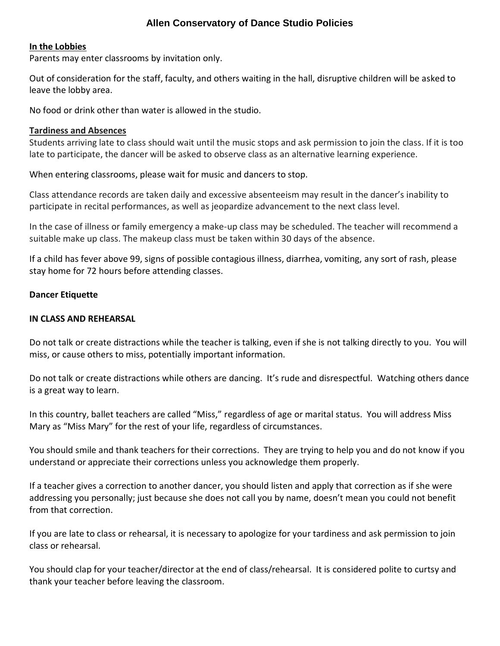## **Allen Conservatory of Dance Studio Policies**

#### **In the Lobbies**

Parents may enter classrooms by invitation only.

Out of consideration for the staff, faculty, and others waiting in the hall, disruptive children will be asked to leave the lobby area.

No food or drink other than water is allowed in the studio.

#### **Tardiness and Absences**

Students arriving late to class should wait until the music stops and ask permission to join the class. If it is too late to participate, the dancer will be asked to observe class as an alternative learning experience.

When entering classrooms, please wait for music and dancers to stop.

Class attendance records are taken daily and excessive absenteeism may result in the dancer's inability to participate in recital performances, as well as jeopardize advancement to the next class level.

In the case of illness or family emergency a make-up class may be scheduled. The teacher will recommend a suitable make up class. The makeup class must be taken within 30 days of the absence.

If a child has fever above 99, signs of possible contagious illness, diarrhea, vomiting, any sort of rash, please stay home for 72 hours before attending classes.

#### **Dancer Etiquette**

#### **IN CLASS AND REHEARSAL**

Do not talk or create distractions while the teacher is talking, even if she is not talking directly to you. You will miss, or cause others to miss, potentially important information.

Do not talk or create distractions while others are dancing. It's rude and disrespectful. Watching others dance is a great way to learn.

In this country, ballet teachers are called "Miss," regardless of age or marital status. You will address Miss Mary as "Miss Mary" for the rest of your life, regardless of circumstances.

You should smile and thank teachers for their corrections. They are trying to help you and do not know if you understand or appreciate their corrections unless you acknowledge them properly.

If a teacher gives a correction to another dancer, you should listen and apply that correction as if she were addressing you personally; just because she does not call you by name, doesn't mean you could not benefit from that correction.

If you are late to class or rehearsal, it is necessary to apologize for your tardiness and ask permission to join class or rehearsal.

You should clap for your teacher/director at the end of class/rehearsal. It is considered polite to curtsy and thank your teacher before leaving the classroom.